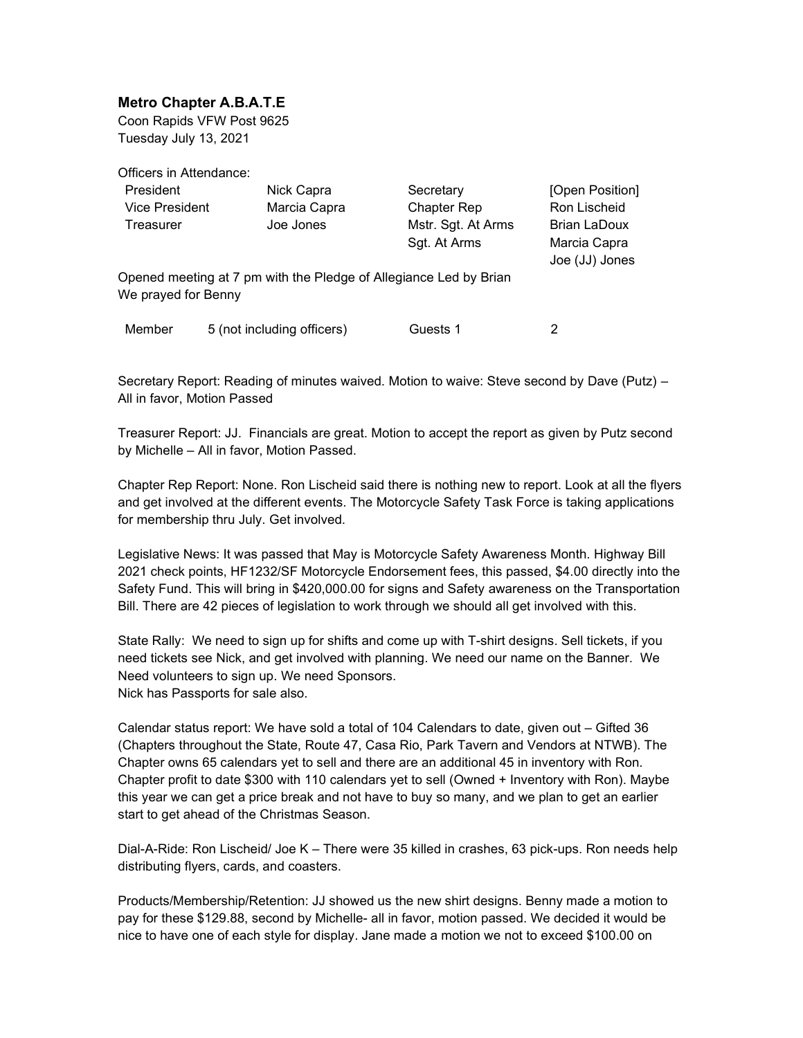## Metro Chapter A.B.A.T.E

Coon Rapids VFW Post 9625 Tuesday July 13, 2021

Officers in Attendance:

| President                                                                                |  | Nick Capra                 | Secretary          |                    | [Open Position]                |
|------------------------------------------------------------------------------------------|--|----------------------------|--------------------|--------------------|--------------------------------|
| Vice President                                                                           |  | Marcia Capra               | <b>Chapter Rep</b> |                    | Ron Lischeid                   |
| Treasurer                                                                                |  | Joe Jones                  |                    | Mstr. Sgt. At Arms | Brian LaDoux                   |
|                                                                                          |  |                            | Sgt. At Arms       |                    | Marcia Capra<br>Joe (JJ) Jones |
| Opened meeting at 7 pm with the Pledge of Allegiance Led by Brian<br>We prayed for Benny |  |                            |                    |                    |                                |
| Member                                                                                   |  | 5 (not including officers) | Guests 1           |                    |                                |

Secretary Report: Reading of minutes waived. Motion to waive: Steve second by Dave (Putz) – All in favor, Motion Passed

Treasurer Report: JJ. Financials are great. Motion to accept the report as given by Putz second by Michelle – All in favor, Motion Passed.

Chapter Rep Report: None. Ron Lischeid said there is nothing new to report. Look at all the flyers and get involved at the different events. The Motorcycle Safety Task Force is taking applications for membership thru July. Get involved.

Legislative News: It was passed that May is Motorcycle Safety Awareness Month. Highway Bill 2021 check points, HF1232/SF Motorcycle Endorsement fees, this passed, \$4.00 directly into the Safety Fund. This will bring in \$420,000.00 for signs and Safety awareness on the Transportation Bill. There are 42 pieces of legislation to work through we should all get involved with this.

State Rally: We need to sign up for shifts and come up with T-shirt designs. Sell tickets, if you need tickets see Nick, and get involved with planning. We need our name on the Banner. We Need volunteers to sign up. We need Sponsors. Nick has Passports for sale also.

Calendar status report: We have sold a total of 104 Calendars to date, given out – Gifted 36 (Chapters throughout the State, Route 47, Casa Rio, Park Tavern and Vendors at NTWB). The Chapter owns 65 calendars yet to sell and there are an additional 45 in inventory with Ron. Chapter profit to date \$300 with 110 calendars yet to sell (Owned + Inventory with Ron). Maybe this year we can get a price break and not have to buy so many, and we plan to get an earlier start to get ahead of the Christmas Season.

Dial-A-Ride: Ron Lischeid/ Joe K – There were 35 killed in crashes, 63 pick-ups. Ron needs help distributing flyers, cards, and coasters.

Products/Membership/Retention: JJ showed us the new shirt designs. Benny made a motion to pay for these \$129.88, second by Michelle- all in favor, motion passed. We decided it would be nice to have one of each style for display. Jane made a motion we not to exceed \$100.00 on